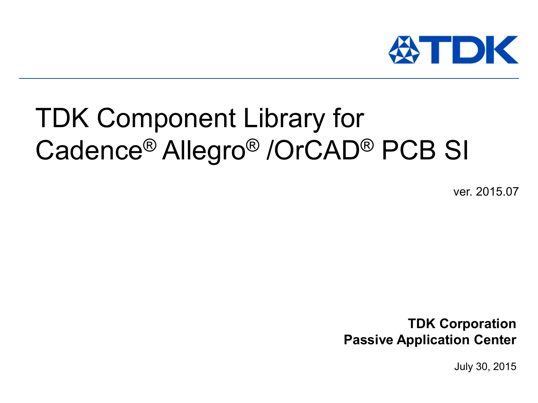

# TDK Component Library for Cadence® Allegro® /OrCAD® PCB SI

ver. 2015.07

**TDK Corporation Passive Application Center**

July 30, 2015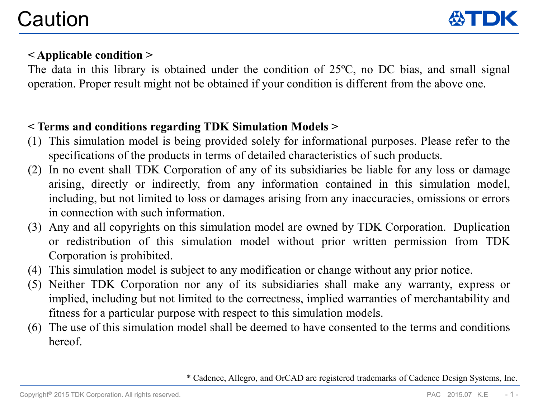

### **< Applicable condition >**

The data in this library is obtained under the condition of 25ºC, no DC bias, and small signal operation. Proper result might not be obtained if your condition is different from the above one.

### **< Terms and conditions regarding TDK Simulation Models >**

- (1) This simulation model is being provided solely for informational purposes. Please refer to the specifications of the products in terms of detailed characteristics of such products.
- (2) In no event shall TDK Corporation of any of its subsidiaries be liable for any loss or damage arising, directly or indirectly, from any information contained in this simulation model, including, but not limited to loss or damages arising from any inaccuracies, omissions or errors in connection with such information.
- (3) Any and all copyrights on this simulation model are owned by TDK Corporation. Duplication or redistribution of this simulation model without prior written permission from TDK Corporation is prohibited.
- (4) This simulation model is subject to any modification or change without any prior notice.
- (5) Neither TDK Corporation nor any of its subsidiaries shall make any warranty, express or implied, including but not limited to the correctness, implied warranties of merchantability and fitness for a particular purpose with respect to this simulation models.
- (6) The use of this simulation model shall be deemed to have consented to the terms and conditions hereof.

\* Cadence, Allegro, and OrCAD are registered trademarks of Cadence Design Systems, Inc.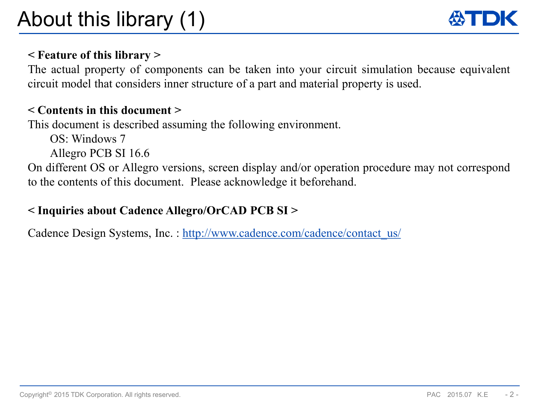### **< Feature of this library >**

The actual property of components can be taken into your circuit simulation because equivalent circuit model that considers inner structure of a part and material property is used.

### **< Contents in this document >**

This document is described assuming the following environment.

OS: Windows 7

Allegro PCB SI 16.6

On different OS or Allegro versions, screen display and/or operation procedure may not correspond to the contents of this document. Please acknowledge it beforehand.

### **< Inquiries about Cadence Allegro/OrCAD PCB SI >**

Cadence Design Systems, Inc.: http://www.cadence.com/cadence/contact\_us/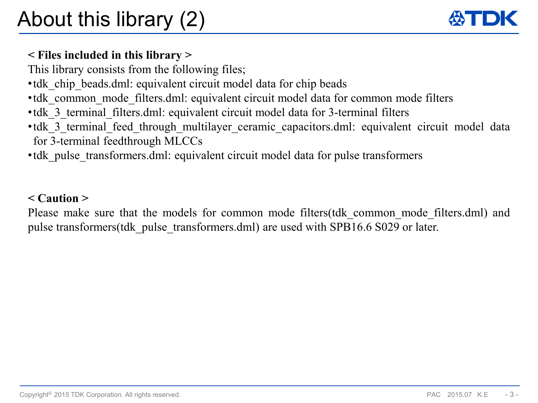### **< Files included in this library >**

This library consists from the following files;

- tdk chip beads.dml: equivalent circuit model data for chip beads
- tdk common mode filters.dml: equivalent circuit model data for common mode filters
- •tdk 3 terminal filters.dml: equivalent circuit model data for 3-terminal filters
- •tdk 3 terminal feed through multilayer ceramic capacitors.dml: equivalent circuit model data for 3-terminal feedthrough MLCCs
- tdk pulse transformers.dml: equivalent circuit model data for pulse transformers

### **< Caution >**

Please make sure that the models for common mode filters (tdk common mode filters.dml) and pulse transformers(tdk\_pulse\_transformers.dml) are used with SPB16.6 S029 or later.

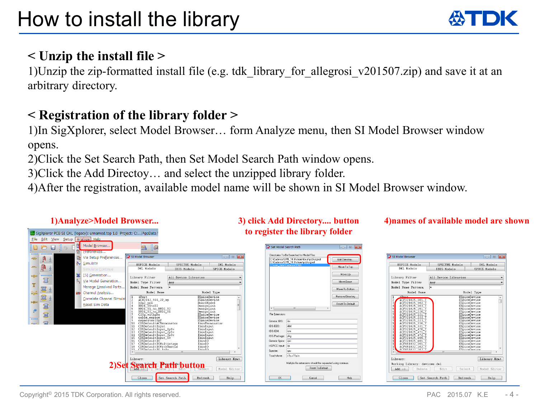## **< Unzip the install file >**

1)Unzip the zip-formatted install file (e.g. tdk\_library\_for\_allegrosi\_v201507.zip) and save it at an arbitrary directory.

## **< Registration of the library folder >**

1)In SigXplorer, select Model Browser… form Analyze menu, then SI Model Browser window opens.

2)Click the Set Search Path, then Set Model Search Path window opens.

3)Click the Add Directoy… and select the unzipped library folder.

4)After the registration, available model name will be shown in SI Model Browser window.



#### **1)Analyze>Model Browser... 3) click Add Directory.... button to register the library folder**

#### **4)names of available model are shown**

| SI Model Browser<br>HSPICE Models<br>DMT. Models                                                                                                                                                                                                                                                                                                                                                                                                                                                                  | -- -<br>l-х<br>IMI. Models<br>SPECTRE Models<br>IBIS Models<br>SPICE Models                                                                                                                                                                                                                                                          |  |  |  |
|-------------------------------------------------------------------------------------------------------------------------------------------------------------------------------------------------------------------------------------------------------------------------------------------------------------------------------------------------------------------------------------------------------------------------------------------------------------------------------------------------------------------|--------------------------------------------------------------------------------------------------------------------------------------------------------------------------------------------------------------------------------------------------------------------------------------------------------------------------------------|--|--|--|
| Library Filter<br>Model Type Filter<br>Model Name Pattern                                                                                                                                                                                                                                                                                                                                                                                                                                                         | All Device Libraries<br>Anv<br>æ                                                                                                                                                                                                                                                                                                     |  |  |  |
| Model Name<br>4 Door +<br>1.<br>2<br>ACF321825 101<br>3<br>ACF321825<br>182<br>4<br>ACF321825 103<br>ś<br>ACF321825<br>151<br>6<br>ACF321825<br>220<br>7<br>ACF321825<br>221<br>8<br>ACF321825<br>9<br>ACF321825<br>1<br>ACF321825<br>330<br>$\mathbf{1}$<br>ACF321825 331<br>1<br>ACF321825<br>470<br>1<br>ACF321825<br>471<br>$\mathbf{1}$<br>ACF321825 472<br>$\mathbf{1}$<br>ACF321825<br>680<br>$\mathbf{1}$<br>ACF321825 681<br>1.<br>ACF451832 101<br>$\mathbf{1}$<br>ACF451832 102<br>ACF451832 103<br>f. | Model Type<br>ESpiceDevice<br>ESpiceDevice<br>ESpiceDevice<br>ESpiceDevice<br>ESpiceDevice<br>ESpiceDevice<br>ESpiceDevice<br>ESpiceDevice<br>ESpiceDevice<br>ESpiceDevice<br>ESpiceDevice<br>ESpiceDevice<br>ESpiceDevice<br>ESpiceDevice<br>ESpiceDevice<br>ESpiceDevice<br>ESpiceDevice<br>ESpiceDevice<br>Finicalmuica<br>m<br>k |  |  |  |
| Library:<br>Library Mgmt<br>Working Library: devices.dml<br>$\text{Add}$ $\rightarrow$<br>Edit<br>Model Editor<br>Delete<br>Select<br>Close<br>Refresh<br>Set Search Path<br>Help                                                                                                                                                                                                                                                                                                                                 |                                                                                                                                                                                                                                                                                                                                      |  |  |  |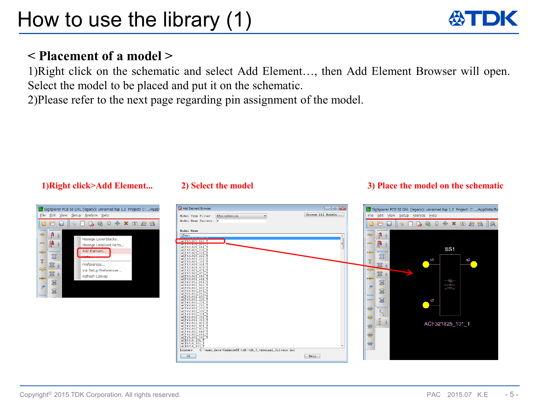### **< Placement of a model >**

1)Right click on the schematic and select Add Element…, then Add Element Browser will open. Select the model to be placed and put it on the schematic.

2)Please refer to the next page regarding pin assignment of the model.





#### **1)Right click>Add Element... 2) Select the model 3) Place the model on the schematic**



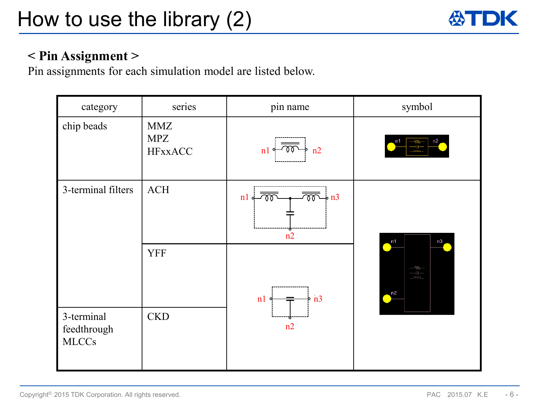

### **< Pin Assignment >**

Pin assignments for each simulation model are listed below.

| category                                  | series                                     | pin name                                                                      | symbol                       |
|-------------------------------------------|--------------------------------------------|-------------------------------------------------------------------------------|------------------------------|
| chip beads                                | <b>MMZ</b><br><b>MPZ</b><br><b>HFxxACC</b> | n2<br>n1                                                                      | n2<br>n1                     |
| 3-terminal filters                        | ACH<br><b>YFF</b>                          | $\overline{{\mathfrak{W}}}\rightarrow {\rm n3}$<br>n!<br>n2<br>n3<br>n1<br>n2 | n1<br>n3                     |
| 3-terminal<br>feedthrough<br><b>MLCCs</b> | <b>CKD</b>                                 |                                                                               | -Wv-<br>ᆠ<br><b>ww</b><br>n2 |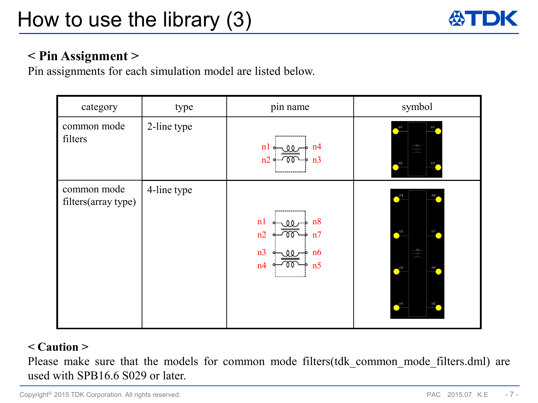

### **< Pin Assignment >**

Pin assignments for each simulation model are listed below.

| category                           | type        | pin name                                                                   | symbol                                                                                                                                                                                                                                                                                        |
|------------------------------------|-------------|----------------------------------------------------------------------------|-----------------------------------------------------------------------------------------------------------------------------------------------------------------------------------------------------------------------------------------------------------------------------------------------|
| common mode<br>filters             | 2-line type | $n! \sim$<br>n4<br>. 00<br>n2<br>n <sub>3</sub>                            | m1<br>n4<br>$\equiv$<br>$\sum_{n=1}^{n}$<br>n3                                                                                                                                                                                                                                                |
| common mode<br>filters(array type) | 4-line type | n8<br>n <sub>1</sub><br>n2<br>n7<br>n3<br>n6<br>00<br>n <sub>5</sub><br>n4 | $\sum_{ }^{n1}$<br>n8<br>$\bigcap_{n=1}^{\infty}$<br>n7<br>$\begin{array}{c}\n\begin{array}{c}\n\text{--} & \text{--} \\ \text{--} & \text{--} \\ \hline\n\text{--} & \text{--} \\ \text{--} & \text{--} \\ \hline\n\end{array}\n\end{array}$<br>$\sum_{n=1}^{n}$<br>n6<br>$\sqrt{104}$<br>n5 |

### **< Caution >**

Please make sure that the models for common mode filters(tdk\_common\_mode\_filters.dml) are used with SPB16.6 S029 or later.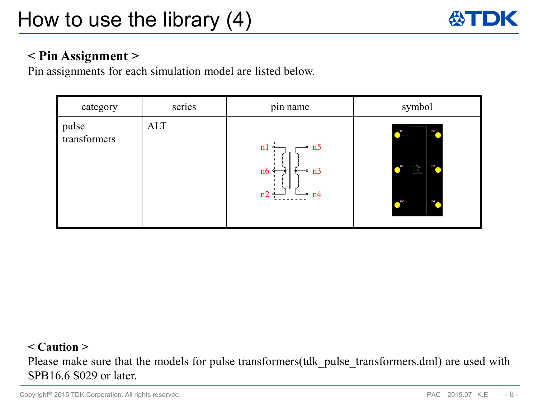

### **< Pin Assignment >**

Pin assignments for each simulation model are listed below.

| category              | series     | ٠<br>pin name                                       | symbol                                                                                                                  |
|-----------------------|------------|-----------------------------------------------------|-------------------------------------------------------------------------------------------------------------------------|
| pulse<br>transformers | <b>ALT</b> | $\div$ n5<br>n1<br>n6<br>n <sub>3</sub><br>n2<br>n4 | n5<br>$\overline{\phantom{0}}$ n1<br>n3<br>n6<br>$\frac{-\mathcal{W}^-}{-\mathcal{W}^-}$<br>$\sim$ n <sub>2</sub><br>n4 |

#### **< Caution >**

Please make sure that the models for pulse transformers (tdk pulse transformers.dml) are used with SPB16.6 S029 or later.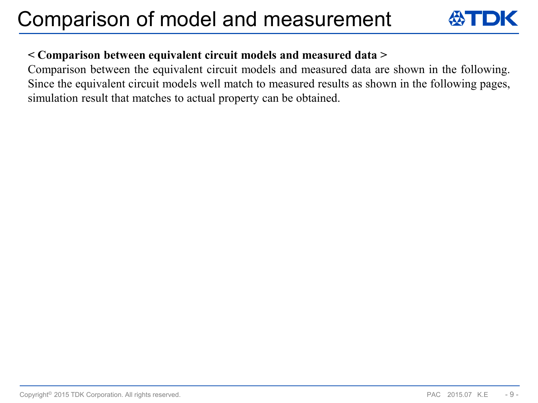

### **< Comparison between equivalent circuit models and measured data >**

Comparison between the equivalent circuit models and measured data are shown in the following. Since the equivalent circuit models well match to measured results as shown in the following pages, simulation result that matches to actual property can be obtained.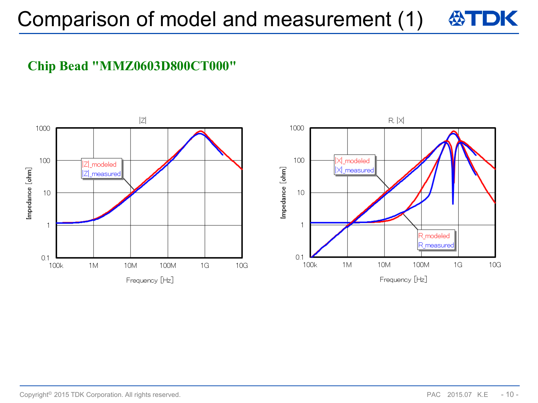### **Chip Bead "MMZ0603D800CT000"**

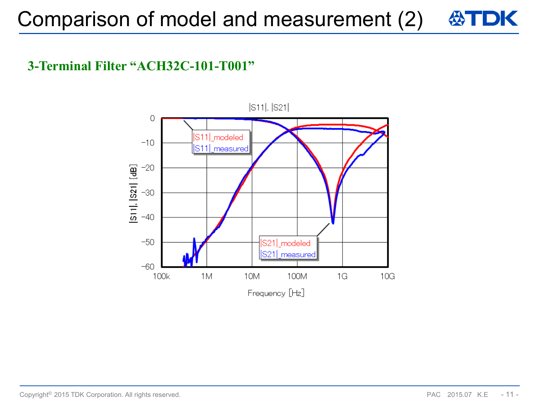### **3-Terminal Filter "ACH32C-101-T001"**

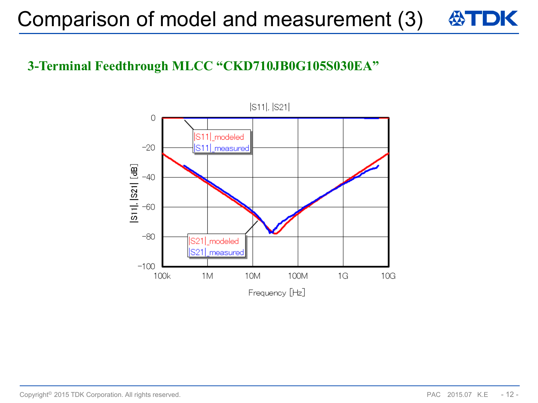## **3-Terminal Feedthrough MLCC "CKD710JB0G105S030EA"**

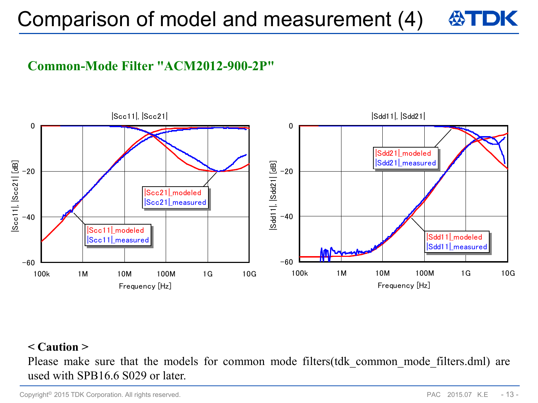### **Common-Mode Filter "ACM2012-900-2P"**



### **< Caution >**

Please make sure that the models for common mode filters (tdk common mode filters.dml) are used with SPB16.6 S029 or later.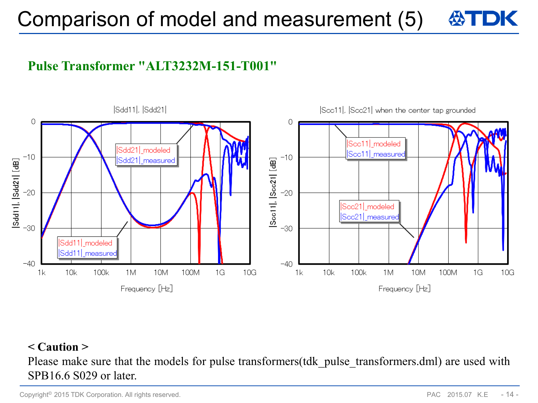### **Pulse Transformer "ALT3232M-151-T001"**



### **< Caution >**

Please make sure that the models for pulse transformers (tdk pulse transformers.dml) are used with SPB16.6 S029 or later.